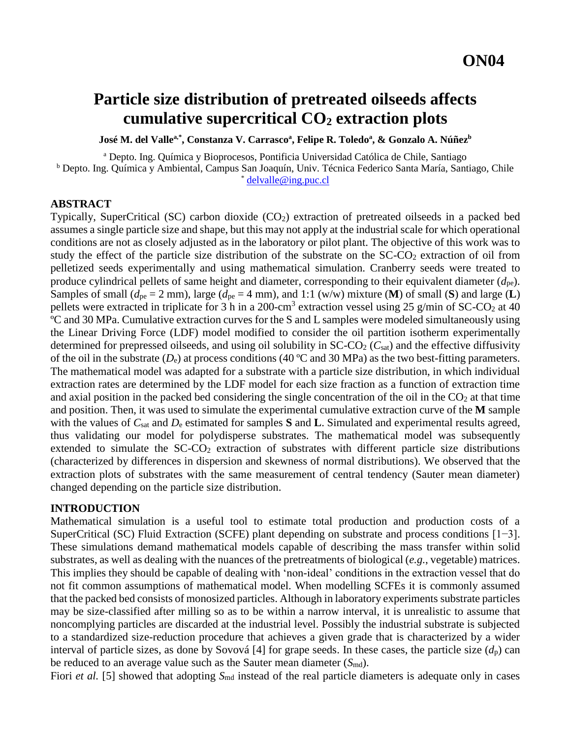# **Particle size distribution of pretreated oilseeds affects cumulative supercritical CO<sup>2</sup> extraction plots**

**José M. del Vallea,\*, Constanza V. Carrasco<sup>a</sup> , Felipe R. Toledo<sup>a</sup> , & Gonzalo A. Núñez<sup>b</sup>**

<sup>a</sup> Depto. Ing. Química y Bioprocesos, Pontificia Universidad Católica de Chile, Santiago <sup>b</sup> Depto. Ing. Química y Ambiental, Campus San Joaquín, Univ. Técnica Federico Santa María, Santiago, Chile  $delvalle@ing.puc$ .cl

## **ABSTRACT**

Typically, SuperCritical (SC) carbon dioxide (CO<sub>2</sub>) extraction of pretreated oilseeds in a packed bed assumes a single particle size and shape, but this may not apply at the industrial scale for which operational conditions are not as closely adjusted as in the laboratory or pilot plant. The objective of this work was to study the effect of the particle size distribution of the substrate on the  $SC-CO<sub>2</sub>$  extraction of oil from pelletized seeds experimentally and using mathematical simulation. Cranberry seeds were treated to produce cylindrical pellets of same height and diameter, corresponding to their equivalent diameter (*d*pe). Samples of small ( $d_{pe} = 2$  mm), large ( $d_{pe} = 4$  mm), and 1:1 (w/w) mixture (**M**) of small (**S**) and large (**L**) pellets were extracted in triplicate for 3 h in a 200-cm<sup>3</sup> extraction vessel using 25 g/min of  $SC\text{-}CO_2$  at 40 ºC and 30 MPa. Cumulative extraction curves for the S and L samples were modeled simultaneously using the Linear Driving Force (LDF) model modified to consider the oil partition isotherm experimentally determined for prepressed oilseeds, and using oil solubility in SC-CO<sup>2</sup> (*C*sat) and the effective diffusivity of the oil in the substrate  $(D_e)$  at process conditions (40 °C and 30 MPa) as the two best-fitting parameters. The mathematical model was adapted for a substrate with a particle size distribution, in which individual extraction rates are determined by the LDF model for each size fraction as a function of extraction time and axial position in the packed bed considering the single concentration of the oil in the  $CO<sub>2</sub>$  at that time and position. Then, it was used to simulate the experimental cumulative extraction curve of the **M** sample with the values of *C*sat and *D*<sup>e</sup> estimated for samples **S** and **L**. Simulated and experimental results agreed, thus validating our model for polydisperse substrates. The mathematical model was subsequently extended to simulate the  $SC-CO<sub>2</sub>$  extraction of substrates with different particle size distributions (characterized by differences in dispersion and skewness of normal distributions). We observed that the extraction plots of substrates with the same measurement of central tendency (Sauter mean diameter) changed depending on the particle size distribution.

## **INTRODUCTION**

Mathematical simulation is a useful tool to estimate total production and production costs of a SuperCritical (SC) Fluid Extraction (SCFE) plant depending on substrate and process conditions [1−3]. These simulations demand mathematical models capable of describing the mass transfer within solid substrates, as well as dealing with the nuances of the pretreatments of biological (*e.g.*, vegetable) matrices. This implies they should be capable of dealing with 'non-ideal' conditions in the extraction vessel that do not fit common assumptions of mathematical model. When modelling SCFEs it is commonly assumed that the packed bed consists of monosized particles. Although in laboratory experiments substrate particles may be size-classified after milling so as to be within a narrow interval, it is unrealistic to assume that noncomplying particles are discarded at the industrial level. Possibly the industrial substrate is subjected to a standardized size-reduction procedure that achieves a given grade that is characterized by a wider interval of particle sizes, as done by Sovová [4] for grape seeds. In these cases, the particle size  $(d_p)$  can be reduced to an average value such as the Sauter mean diameter (*S*md).

Fiori *et al.* [5] showed that adopting  $S_{\text{md}}$  instead of the real particle diameters is adequate only in cases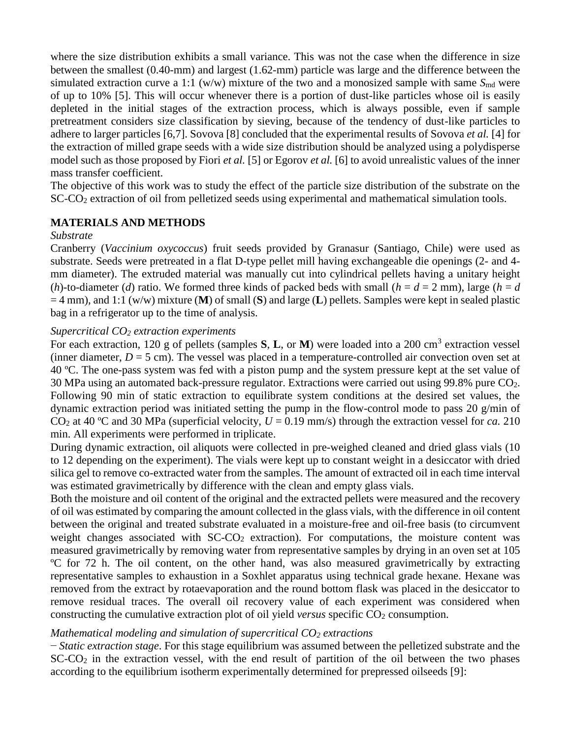where the size distribution exhibits a small variance. This was not the case when the difference in size between the smallest (0.40-mm) and largest (1.62-mm) particle was large and the difference between the simulated extraction curve a 1:1 (w/w) mixture of the two and a monosized sample with same  $S_{\text{md}}$  were of up to 10% [5]. This will occur whenever there is a portion of dust-like particles whose oil is easily depleted in the initial stages of the extraction process, which is always possible, even if sample pretreatment considers size classification by sieving, because of the tendency of dust-like particles to adhere to larger particles [6,7]. Sovova [8] concluded that the experimental results of Sovova *et al.* [4] for the extraction of milled grape seeds with a wide size distribution should be analyzed using a polydisperse model such as those proposed by Fiori *et al.* [5] or Egorov *et al.* [6] to avoid unrealistic values of the inner mass transfer coefficient.

The objective of this work was to study the effect of the particle size distribution of the substrate on the SC-CO<sub>2</sub> extraction of oil from pelletized seeds using experimental and mathematical simulation tools.

# **MATERIALS AND METHODS**

#### *Substrate*

Cranberry (*Vaccinium oxycoccus*) fruit seeds provided by Granasur (Santiago, Chile) were used as substrate. Seeds were pretreated in a flat D-type pellet mill having exchangeable die openings (2- and 4 mm diameter). The extruded material was manually cut into cylindrical pellets having a unitary height (*h*)-to-diameter (*d*) ratio. We formed three kinds of packed beds with small ( $h = d = 2$  mm), large ( $h = d$ ) = 4 mm), and 1:1 (w/w) mixture (**M**) of small (**S**) and large (**L**) pellets. Samples were kept in sealed plastic bag in a refrigerator up to the time of analysis.

#### *Supercritical CO<sup>2</sup> extraction experiments*

For each extraction, 120 g of pellets (samples S, L, or M) were loaded into a 200 cm<sup>3</sup> extraction vessel (inner diameter,  $D = 5$  cm). The vessel was placed in a temperature-controlled air convection oven set at 40 ºC. The one-pass system was fed with a piston pump and the system pressure kept at the set value of 30 MPa using an automated back-pressure regulator. Extractions were carried out using 99.8% pure CO2. Following 90 min of static extraction to equilibrate system conditions at the desired set values, the dynamic extraction period was initiated setting the pump in the flow-control mode to pass 20 g/min of CO<sub>2</sub> at 40 °C and 30 MPa (superficial velocity,  $U = 0.19$  mm/s) through the extraction vessel for *ca*. 210 min. All experiments were performed in triplicate.

During dynamic extraction, oil aliquots were collected in pre-weighed cleaned and dried glass vials (10 to 12 depending on the experiment). The vials were kept up to constant weight in a desiccator with dried silica gel to remove co-extracted water from the samples. The amount of extracted oil in each time interval was estimated gravimetrically by difference with the clean and empty glass vials.

Both the moisture and oil content of the original and the extracted pellets were measured and the recovery of oil was estimated by comparing the amount collected in the glass vials, with the difference in oil content between the original and treated substrate evaluated in a moisture-free and oil-free basis (to circumvent weight changes associated with  $SC-CO<sub>2</sub>$  extraction). For computations, the moisture content was measured gravimetrically by removing water from representative samples by drying in an oven set at 105 ºC for 72 h. The oil content, on the other hand, was also measured gravimetrically by extracting representative samples to exhaustion in a Soxhlet apparatus using technical grade hexane. Hexane was removed from the extract by rotaevaporation and the round bottom flask was placed in the desiccator to remove residual traces. The overall oil recovery value of each experiment was considered when constructing the cumulative extraction plot of oil yield *versus* specific CO<sub>2</sub> consumption.

## *Mathematical modeling and simulation of supercritical CO<sup>2</sup> extractions*

− *Static extraction stage*. For this stage equilibrium was assumed between the pelletized substrate and the  $SC-CO<sub>2</sub>$  in the extraction vessel, with the end result of partition of the oil between the two phases according to the equilibrium isotherm experimentally determined for prepressed oilseeds [9]: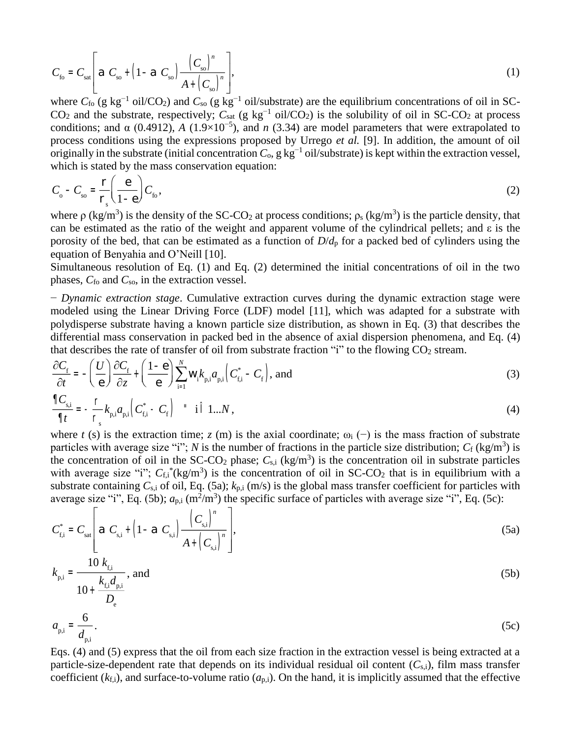$$
C_{\rm fo} = C_{\rm sat} \left[ a \ C_{\rm so} + \left( 1 - a \ C_{\rm so} \right) \frac{\left( C_{\rm so} \right)^n}{A + \left( C_{\rm so} \right)^n} \right],\tag{1}
$$

where  $C_{f0}$  (g kg<sup>-1</sup> oil/CO<sub>2</sub>) and  $C_{s0}$  (g kg<sup>-1</sup> oil/substrate) are the equilibrium concentrations of oil in SC- $CO<sub>2</sub>$  and the substrate, respectively;  $C<sub>sat</sub>$  (g kg<sup>-1</sup> oil/CO<sub>2</sub>) is the solubility of oil in SC-CO<sub>2</sub> at process conditions; and  $\alpha$  (0.4912), *A* (1.9×10<sup>-5</sup>), and *n* (3.34) are model parameters that were extrapolated to process conditions using the expressions proposed by Urrego *et al.* [9]. In addition, the amount of oil originally in the substrate (initial concentration  $C_0$ , g kg<sup>-1</sup> oil/substrate) is kept within the extraction vessel, which is stated by the mass conservation equation:

$$
C_{o} - C_{so} = \frac{\Gamma}{\Gamma_{s}} \left( \frac{\Theta}{1 - \Theta} \right) C_{fo}, \tag{2}
$$

where  $\rho$  (kg/m<sup>3</sup>) is the density of the SC-CO<sub>2</sub> at process conditions;  $\rho_s$  (kg/m<sup>3</sup>) is the particle density, that can be estimated as the ratio of the weight and apparent volume of the cylindrical pellets; and ε is the porosity of the bed, that can be estimated as a function of  $D/d<sub>p</sub>$  for a packed bed of cylinders using the equation of Benyahia and O'Neill [10].

Simultaneous resolution of Eq. (1) and Eq. (2) determined the initial concentrations of oil in the two phases, *C*fo and *C*so, in the extraction vessel.

− *Dynamic extraction stage*. Cumulative extraction curves during the dynamic extraction stage were modeled using the Linear Driving Force (LDF) model [11], which was adapted for a substrate with polydisperse substrate having a known particle size distribution, as shown in Eq. (3) that describes the differential mass conservation in packed bed in the absence of axial dispersion phenomena, and Eq. (4) that describes the rate of transfer of oil from substrate fraction "i" to the flowing  $CO<sub>2</sub>$  stream.

$$
\frac{\partial C_{\rm f}}{\partial t} = -\left(\frac{U}{e}\right) \frac{\partial C_{\rm f}}{\partial z} + \left(\frac{1 - e}{e}\right) \sum_{i=1}^{N} W_{\rm i} k_{\rm p,i} a_{\rm p,i} \left(C_{\rm f,i}^{*} - C_{\rm f}\right), \text{ and}
$$
\n(3)

$$
\frac{\P C_{s,i}}{\P t} = -\frac{\Gamma}{\Gamma_s} k_{p,i} a_{p,i} \left( C_{f,i}^* - C_f \right) \quad \text{if } i = 1...N,
$$
\n(4)

where *t* (s) is the extraction time; *z* (m) is the axial coordinate;  $\omega_i$  (−) is the mass fraction of substrate particles with average size "i"; *N* is the number of fractions in the particle size distribution;  $C_f$  (kg/m<sup>3</sup>) is the concentration of oil in the  $SC\text{-}CO_2$  phase;  $C_{s,i}$  (kg/m<sup>3</sup>) is the concentration oil in substrate particles with average size "i";  $C_{f,i}$ <sup>\*</sup>(kg/m<sup>3</sup>) is the concentration of oil in SC-CO<sub>2</sub> that is in equilibrium with a substrate containing  $C_{s,i}$  of oil, Eq. (5a);  $k_{p,i}$  (m/s) is the global mass transfer coefficient for particles with average size "i", Eq. (5b);  $a_{p,i}$  (m<sup>2</sup>/m<sup>3</sup>) the specific surface of particles with average size "i", Eq. (5c):

$$
C_{f,i}^{*} = C_{sat} \left[ a C_{s,i} + \left( 1 - a C_{s,i} \right) \frac{\left( C_{s,i} \right)^{n}}{A + \left( C_{s,i} \right)^{n}} \right],
$$
\n(5a)

$$
k_{p,i} = \frac{10 k_{f,i}}{10 + \frac{k_{f,i} d_{p,i}}{D_e}}, \text{ and } (5b)
$$

$$
a_{p,i} = \frac{6}{d_{p,i}}.\tag{5c}
$$

Eqs. (4) and (5) express that the oil from each size fraction in the extraction vessel is being extracted at a particle-size-dependent rate that depends on its individual residual oil content  $(C_{si})$ , film mass transfer coefficient  $(k_{f,i})$ , and surface-to-volume ratio  $(a_{p,i})$ . On the hand, it is implicitly assumed that the effective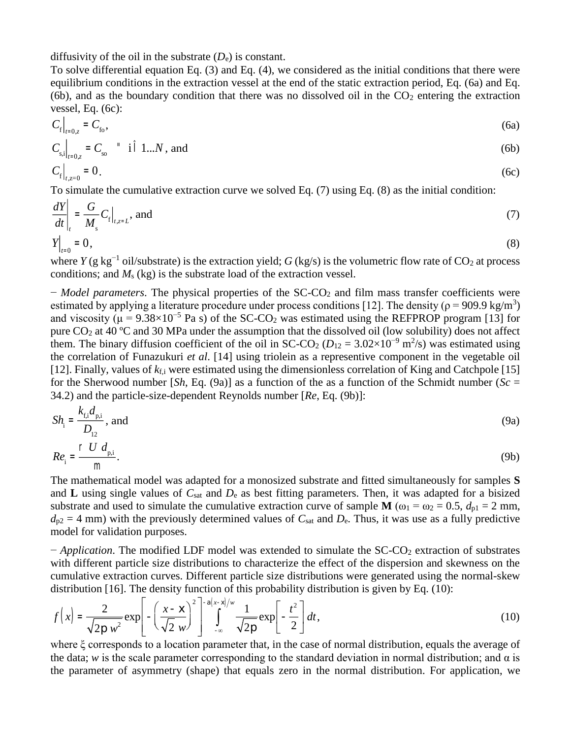diffusivity of the oil in the substrate  $(D_e)$  is constant.

To solve differential equation Eq. (3) and Eq. (4), we considered as the initial conditions that there were equilibrium conditions in the extraction vessel at the end of the static extraction period, Eq. (6a) and Eq. (6b), and as the boundary condition that there was no dissolved oil in the  $CO<sub>2</sub>$  entering the extraction vessel, Eq. (6c):

$$
C_{f}|_{t=0,z} = C_{f_0},\tag{6a}
$$

$$
C_{s,i}|_{t=0,z} = C_{s0} \t ii \t i 1...N, and \t (6b)
$$
  

$$
C_{f}|_{t,z=0} = 0.
$$
 (6c)

To simulate the cumulative extraction curve we solved Eq. (7) using Eq. (8) as the initial condition:

$$
\left. \frac{dY}{dt} \right|_{t} = \frac{G}{M_{s}} C_{f} \Big|_{t,z=L}, \text{ and} \tag{7}
$$

$$
Y\Big|_{t=0} = 0,\tag{8}
$$

where  $Y$  (g kg<sup>-1</sup> oil/substrate) is the extraction yield; *G* (kg/s) is the volumetric flow rate of CO<sub>2</sub> at process conditions; and  $M_s$  (kg) is the substrate load of the extraction vessel.

− *Model parameters*. The physical properties of the SC-CO<sup>2</sup> and film mass transfer coefficients were estimated by applying a literature procedure under process conditions [12]. The density ( $\rho = 909.9 \text{ kg/m}^3$ ) and viscosity ( $\mu = 9.38 \times 10^{-5}$  Pa s) of the SC-CO<sub>2</sub> was estimated using the REFPROP program [13] for pure CO<sup>2</sup> at 40 ºC and 30 MPa under the assumption that the dissolved oil (low solubility) does not affect them. The binary diffusion coefficient of the oil in SC-CO<sub>2</sub> ( $D_{12} = 3.02 \times 10^{-9}$  m<sup>2</sup>/s) was estimated using the correlation of Funazukuri *et al*. [14] using triolein as a representive component in the vegetable oil [12]. Finally, values of  $k_{\text{fi}}$  were estimated using the dimensionless correlation of King and Catchpole [15] for the Sherwood number  $[Sh, Eq. (9a)]$  as a function of the as a function of the Schmidt number ( $Sc =$ 34.2) and the particle-size-dependent Reynolds number [*Re*, Eq. (9b)]:

$$
Sh_{i} = \frac{k_{f,i}d_{p,i}}{D_{12}}, \text{ and } (9a)
$$

$$
Re_{i} = \frac{\Gamma U d_{\text{p,i}}}{m}.
$$
 (9b)

The mathematical model was adapted for a monosized substrate and fitted simultaneously for samples **S** and **L** using single values of *C*sat and *D*<sup>e</sup> as best fitting parameters. Then, it was adapted for a bisized substrate and used to simulate the cumulative extraction curve of sample **M** ( $\omega_1 = \omega_2 = 0.5$ ,  $d_{p1} = 2$  mm,  $d_{p2} = 4$  mm) with the previously determined values of  $C_{\text{sat}}$  and  $D_{\text{e}}$ . Thus, it was use as a fully predictive model for validation purposes.

− *Application*. The modified LDF model was extended to simulate the SC-CO<sup>2</sup> extraction of substrates with different particle size distributions to characterize the effect of the dispersion and skewness on the cumulative extraction curves. Different particle size distributions were generated using the normal-skew distribution [16]. The density function of this probability distribution is given by Eq. (10):

$$
f\left(x\right) = \frac{2}{\sqrt{2p w^2}} \exp\left[-\left(\frac{x-x}{\sqrt{2} w}\right)^2\right]^{-a\left(x-x\right)/w} \frac{1}{\sqrt{2p}} \exp\left[-\frac{t^2}{2}\right] dt,\tag{10}
$$

where ξ corresponds to a location parameter that, in the case of normal distribution, equals the average of the data; *w* is the scale parameter corresponding to the standard deviation in normal distribution; and  $\alpha$  is the parameter of asymmetry (shape) that equals zero in the normal distribution. For application, we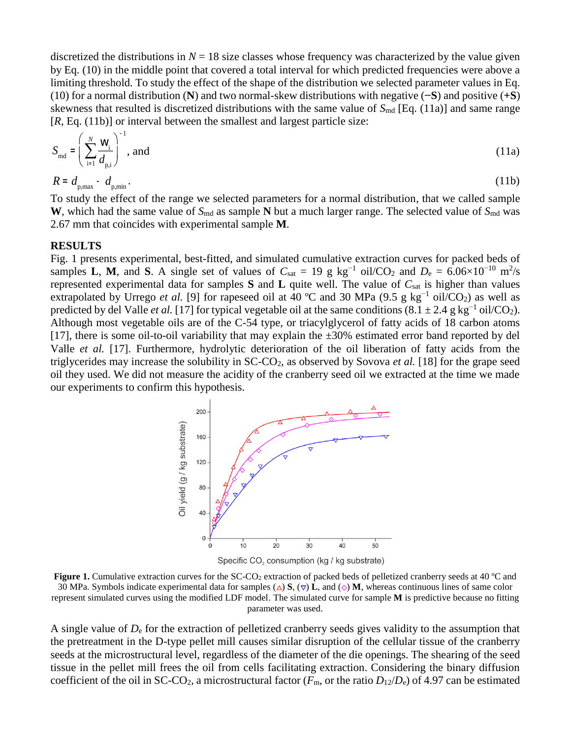discretized the distributions in  $N = 18$  size classes whose frequency was characterized by the value given by Eq. (10) in the middle point that covered a total interval for which predicted frequencies were above a limiting threshold. To study the effect of the shape of the distribution we selected parameter values in Eq. (10) for a normal distribution (**N**) and two normal-skew distributions with negative (**−S**) and positive (**+S**) skewness that resulted is discretized distributions with the same value of  $S_{\text{md}}$  [Eq. (11a)] and same range [*R*, Eq. (11b)] or interval between the smallest and largest particle size:

$$
S_{\rm md} = \left(\sum_{i=1}^{N} \frac{W_i}{d_{\rm pd}}\right)^{-1}, \text{ and} \tag{11a}
$$

 $R = d_{p,\text{max}} - d_{p,\text{min}}$ .  $(11b)$ 

To study the effect of the range we selected parameters for a normal distribution, that we called sample **W**, which had the same value of  $S_{\text{md}}$  as sample **N** but a much larger range. The selected value of  $S_{\text{md}}$  was 2.67 mm that coincides with experimental sample **M**.

#### **RESULTS**

Fig. 1 presents experimental, best-fitted, and simulated cumulative extraction curves for packed beds of samples **L**, **M**, and **S**. A single set of values of  $C_{\text{sat}} = 19$  g kg<sup>-1</sup> oil/CO<sub>2</sub> and  $D_e = 6.06 \times 10^{-10}$  m<sup>2</sup>/s represented experimental data for samples **S** and **L** quite well. The value of *C*sat is higher than values extrapolated by Urrego *et al.* [9] for rapeseed oil at 40 °C and 30 MPa (9.5 g kg<sup>-1</sup> oil/CO<sub>2</sub>) as well as predicted by del Valle *et al.* [17] for typical vegetable oil at the same conditions  $(8.1 \pm 2.4 \text{ g kg}^{-1} \text{ oil/CO}_2)$ . Although most vegetable oils are of the C-54 type, or triacylglycerol of fatty acids of 18 carbon atoms [17], there is some oil-to-oil variability that may explain the  $\pm 30\%$  estimated error band reported by del Valle *et al.* [17]. Furthermore, hydrolytic deterioration of the oil liberation of fatty acids from the triglycerides may increase the solubility in SC-CO2, as observed by Sovova *et al.* [18] for the grape seed oil they used. We did not measure the acidity of the cranberry seed oil we extracted at the time we made our experiments to confirm this hypothesis.



Specific CO<sub>2</sub> consumption (kg / kg substrate)

**Figure 1.** Cumulative extraction curves for the SC-CO<sub>2</sub> extraction of packed beds of pelletized cranberry seeds at 40 °C and 30 MPa. Symbols indicate experimental data for samples  $(\triangle)$  **S**,  $(\triangledown)$  **L**, and  $(\diamond)$  **M**, whereas continuous lines of same color represent simulated curves using the modified LDF model. The simulated curve for sample **M** is predictive because no fitting parameter was used.

A single value of *D*<sup>e</sup> for the extraction of pelletized cranberry seeds gives validity to the assumption that the pretreatment in the D-type pellet mill causes similar disruption of the cellular tissue of the cranberry seeds at the microstructural level, regardless of the diameter of the die openings. The shearing of the seed tissue in the pellet mill frees the oil from cells facilitating extraction. Considering the binary diffusion coefficient of the oil in SC-CO<sub>2</sub>, a microstructural factor ( $F_m$ , or the ratio  $D_{12}/D_e$ ) of 4.97 can be estimated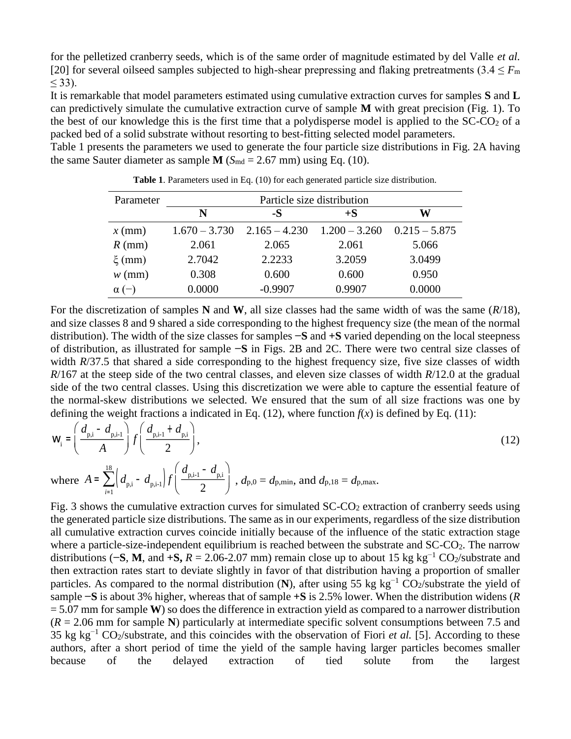for the pelletized cranberry seeds, which is of the same order of magnitude estimated by del Valle *et al.* [20] for several oilseed samples subjected to high-shear prepressing and flaking pretreatments ( $3.4 \le F_m$ )  $<$  33).

It is remarkable that model parameters estimated using cumulative extraction curves for samples **S** and **L** can predictively simulate the cumulative extraction curve of sample **M** with great precision (Fig. 1). To the best of our knowledge this is the first time that a polydisperse model is applied to the  $SC-CO<sub>2</sub>$  of a packed bed of a solid substrate without resorting to best-fitting selected model parameters.

Table 1 presents the parameters we used to generate the four particle size distributions in Fig. 2A having the same Sauter diameter as sample  $M$  ( $S_{\text{md}} = 2.67$  mm) using Eq. (10).

| Parameter    | Particle size distribution |                 |                 |                 |
|--------------|----------------------------|-----------------|-----------------|-----------------|
|              | N                          | -S              | $+$ S           | W               |
| $x$ (mm)     | $1.670 - 3.730$            | $2.165 - 4.230$ | $1.200 - 3.260$ | $0.215 - 5.875$ |
| $R$ (mm)     | 2.061                      | 2.065           | 2.061           | 5.066           |
| $\xi$ (mm)   | 2.7042                     | 2.2233          | 3.2059          | 3.0499          |
| $w$ (mm)     | 0.308                      | 0.600           | 0.600           | 0.950           |
| $\alpha$ (-) | 0.0000                     | $-0.9907$       | 0.9907          | 0.0000          |

**Table 1**. Parameters used in Eq. (10) for each generated particle size distribution.

For the discretization of samples **N** and **W**, all size classes had the same width of was the same (*R*/18), and size classes 8 and 9 shared a side corresponding to the highest frequency size (the mean of the normal distribution). The width of the size classes for samples **−S** and **+S** varied depending on the local steepness of distribution, as illustrated for sample **−S** in Figs. 2B and 2C. There were two central size classes of width *R*/37.5 that shared a side corresponding to the highest frequency size, five size classes of width *R*/167 at the steep side of the two central classes, and eleven size classes of width *R*/12.0 at the gradual side of the two central classes. Using this discretization we were able to capture the essential feature of the normal-skew distributions we selected. We ensured that the sum of all size fractions was one by defining the weight fractions a indicated in Eq. (12), where function  $f(x)$  is defined by Eq. (11):

$$
W_{i} = \left(\frac{d_{p,i} - d_{p,i-1}}{A}\right) f\left(\frac{d_{p,i-1} + d_{p,i}}{2}\right),
$$
\n(12)

where  $A = \sum_{p,i} (d_{p,i} - d_{p,i-1}) j$ *i*=1  $\sum_{p,i}^{18} \Big( d_{p,i} - d_{p,i-1} \Big) f \Bigg( \frac{d_{p,i-1} - d_{p,i}}{2} \Bigg)$ 2 æ  $\bigg($  $\setminus$  $\int$ ,  $d_{p,0} = d_{p,\text{min}}$ , and  $d_{p,18} = d_{p,\text{max}}$ .

Fig. 3 shows the cumulative extraction curves for simulated  $SC\text{-}CO<sub>2</sub>$  extraction of cranberry seeds using the generated particle size distributions. The same as in our experiments, regardless of the size distribution all cumulative extraction curves coincide initially because of the influence of the static extraction stage where a particle-size-independent equilibrium is reached between the substrate and SC-CO<sub>2</sub>. The narrow distributions ( $-S$ , **M**, and  $+S$ ,  $R = 2.06-2.07$  mm) remain close up to about 15 kg kg<sup>-1</sup> CO<sub>2</sub>/substrate and then extraction rates start to deviate slightly in favor of that distribution having a proportion of smaller particles. As compared to the normal distribution (**N**), after using 55 kg kg<sup>-1</sup> CO<sub>2</sub>/substrate the yield of sample **−S** is about 3% higher, whereas that of sample **+S** is 2.5% lower. When the distribution widens (*R* = 5.07 mm for sample **W**) so does the difference in extraction yield as compared to a narrower distribution  $(R = 2.06$  mm for sample **N**) particularly at intermediate specific solvent consumptions between 7.5 and 35 kg kg−1 CO2/substrate, and this coincides with the observation of Fiori *et al.* [5]. According to these authors, after a short period of time the yield of the sample having larger particles becomes smaller because of the delayed extraction of tied solute from the largest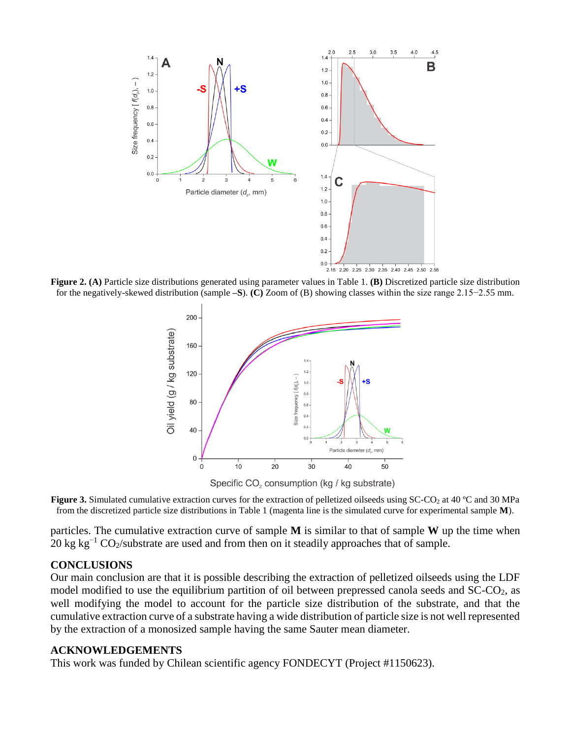

**Figure 2. (A)** Particle size distributions generated using parameter values in Table 1. **(B)** Discretized particle size distribution for the negatively-skewed distribution (sample **–S**). **(C)** Zoom of (B) showing classes within the size range 2.15−2.55 mm.



Specific CO<sub>2</sub> consumption (kg / kg substrate)

**Figure 3.** Simulated cumulative extraction curves for the extraction of pelletized oilseeds using SC-CO<sub>2</sub> at 40 °C and 30 MPa from the discretized particle size distributions in Table 1 (magenta line is the simulated curve for experimental sample **M**).

particles. The cumulative extraction curve of sample **M** is similar to that of sample **W** up the time when 20 kg kg<sup>-1</sup> CO<sub>2</sub>/substrate are used and from then on it steadily approaches that of sample.

# **CONCLUSIONS**

Our main conclusion are that it is possible describing the extraction of pelletized oilseeds using the LDF model modified to use the equilibrium partition of oil between prepressed canola seeds and SC-CO2, as well modifying the model to account for the particle size distribution of the substrate, and that the cumulative extraction curve of a substrate having a wide distribution of particle size is not well represented by the extraction of a monosized sample having the same Sauter mean diameter.

#### **ACKNOWLEDGEMENTS**

This work was funded by Chilean scientific agency FONDECYT (Project #1150623).